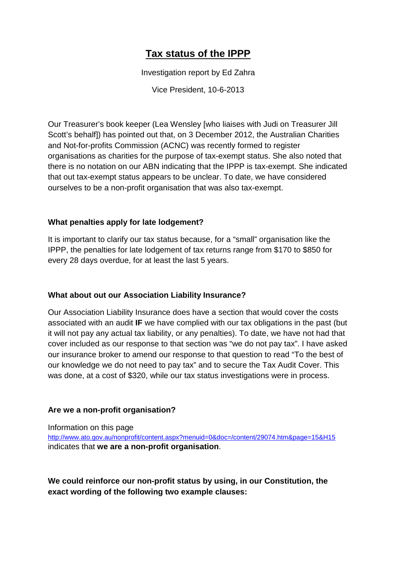# **Tax status of the IPPP**

Investigation report by Ed Zahra

Vice President, 10-6-2013

Our Treasurer's book keeper (Lea Wensley [who liaises with Judi on Treasurer Jill Scott's behalf]) has pointed out that, on 3 December 2012, the Australian Charities and Not-for-profits Commission (ACNC) was recently formed to register organisations as charities for the purpose of tax-exempt status. She also noted that there is no notation on our ABN indicating that the IPPP is tax-exempt. She indicated that out tax-exempt status appears to be unclear. To date, we have considered ourselves to be a non-profit organisation that was also tax-exempt.

## **What penalties apply for late lodgement?**

It is important to clarify our tax status because, for a "small" organisation like the IPPP, the penalties for late lodgement of tax returns range from \$170 to \$850 for every 28 days overdue, for at least the last 5 years.

## **What about out our Association Liability Insurance?**

Our Association Liability Insurance does have a section that would cover the costs associated with an audit **IF** we have complied with our tax obligations in the past (but it will not pay any actual tax liability, or any penalties). To date, we have not had that cover included as our response to that section was "we do not pay tax". I have asked our insurance broker to amend our response to that question to read "To the best of our knowledge we do not need to pay tax" and to secure the Tax Audit Cover. This was done, at a cost of \$320, while our tax status investigations were in process.

## **Are we a non-profit organisation?**

## Information on this page

http://www.ato.gov.au/nonprofit/content.aspx?menuid=0&doc=/content/29074.htm&page=15&H15 indicates that **we are a non-profit organisation**.

**We could reinforce our non-profit status by using, in our Constitution, the exact wording of the following two example clauses:**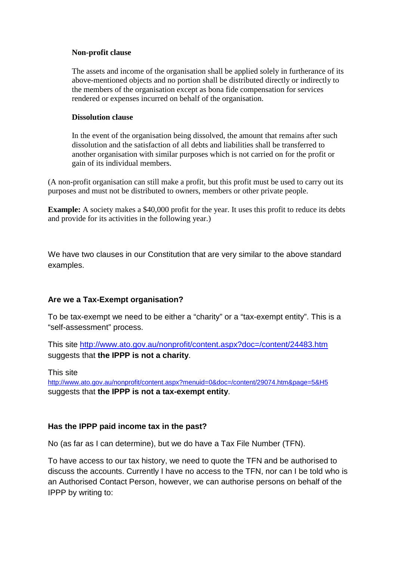#### **Non-profit clause**

The assets and income of the organisation shall be applied solely in furtherance of its above-mentioned objects and no portion shall be distributed directly or indirectly to the members of the organisation except as bona fide compensation for services rendered or expenses incurred on behalf of the organisation.

#### **Dissolution clause**

In the event of the organisation being dissolved, the amount that remains after such dissolution and the satisfaction of all debts and liabilities shall be transferred to another organisation with similar purposes which is not carried on for the profit or gain of its individual members.

(A non-profit organisation can still make a profit, but this profit must be used to carry out its purposes and must not be distributed to owners, members or other private people.

**Example:** A society makes a \$40,000 profit for the year. It uses this profit to reduce its debts and provide for its activities in the following year.)

We have two clauses in our Constitution that are very similar to the above standard examples.

## **Are we a Tax-Exempt organisation?**

To be tax-exempt we need to be either a "charity" or a "tax-exempt entity". This is a "self-assessment" process.

This site http://www.ato.gov.au/nonprofit/content.aspx?doc=/content/24483.htm suggests that **the IPPP is not a charity**.

This site

http://www.ato.gov.au/nonprofit/content.aspx?menuid=0&doc=/content/29074.htm&page=5&H5 suggests that **the IPPP is not a tax-exempt entity**.

#### **Has the IPPP paid income tax in the past?**

No (as far as I can determine), but we do have a Tax File Number (TFN).

To have access to our tax history, we need to quote the TFN and be authorised to discuss the accounts. Currently I have no access to the TFN, nor can I be told who is an Authorised Contact Person, however, we can authorise persons on behalf of the IPPP by writing to: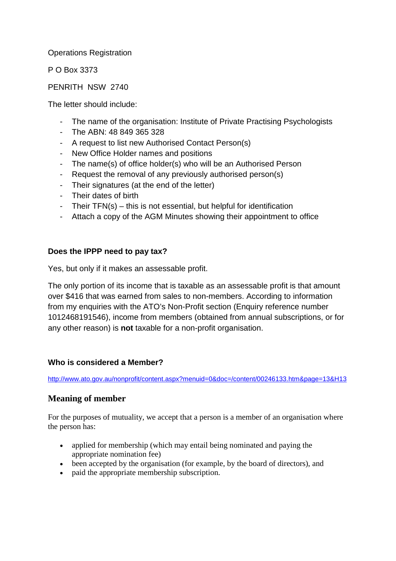### Operations Registration

P O Box 3373

### PENRITH NSW 2740

The letter should include:

- The name of the organisation: Institute of Private Practising Psychologists
- The ABN: 48 849 365 328
- A request to list new Authorised Contact Person(s)
- New Office Holder names and positions
- The name(s) of office holder(s) who will be an Authorised Person
- Request the removal of any previously authorised person(s)
- Their signatures (at the end of the letter)
- Their dates of birth
- Their TFN(s) this is not essential, but helpful for identification
- Attach a copy of the AGM Minutes showing their appointment to office

#### **Does the IPPP need to pay tax?**

Yes, but only if it makes an assessable profit.

The only portion of its income that is taxable as an assessable profit is that amount over \$416 that was earned from sales to non-members. According to information from my enquiries with the ATO's Non-Profit section (Enquiry reference number 1012468191546), income from members (obtained from annual subscriptions, or for any other reason) is **not** taxable for a non-profit organisation.

#### **Who is considered a Member?**

http://www.ato.gov.au/nonprofit/content.aspx?menuid=0&doc=/content/00246133.htm&page=13&H13

## **Meaning of member**

For the purposes of mutuality, we accept that a person is a member of an organisation where the person has:

- applied for membership (which may entail being nominated and paying the appropriate nomination fee)
- been accepted by the organisation (for example, by the board of directors), and
- paid the appropriate membership subscription.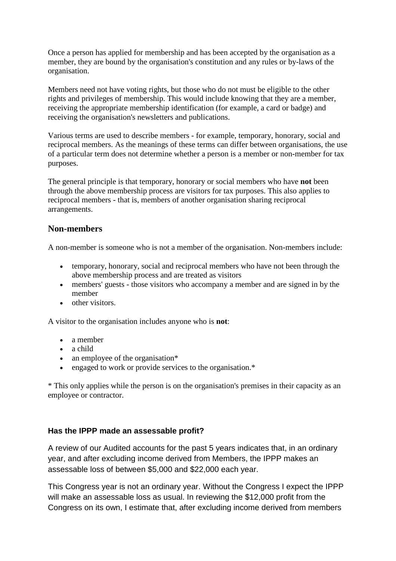Once a person has applied for membership and has been accepted by the organisation as a member, they are bound by the organisation's constitution and any rules or by-laws of the organisation.

Members need not have voting rights, but those who do not must be eligible to the other rights and privileges of membership. This would include knowing that they are a member, receiving the appropriate membership identification (for example, a card or badge) and receiving the organisation's newsletters and publications.

Various terms are used to describe members - for example, temporary, honorary, social and reciprocal members. As the meanings of these terms can differ between organisations, the use of a particular term does not determine whether a person is a member or non-member for tax purposes.

The general principle is that temporary, honorary or social members who have **not** been through the above membership process are visitors for tax purposes. This also applies to reciprocal members - that is, members of another organisation sharing reciprocal arrangements.

## **Non-members**

A non-member is someone who is not a member of the organisation. Non-members include:

- temporary, honorary, social and reciprocal members who have not been through the above membership process and are treated as visitors
- members' guests those visitors who accompany a member and are signed in by the member
- other visitors.

A visitor to the organisation includes anyone who is **not**:

- a member
- a child
- an employee of the organisation\*
- engaged to work or provide services to the organisation.\*

\* This only applies while the person is on the organisation's premises in their capacity as an employee or contractor.

## **Has the IPPP made an assessable profit?**

A review of our Audited accounts for the past 5 years indicates that, in an ordinary year, and after excluding income derived from Members, the IPPP makes an assessable loss of between \$5,000 and \$22,000 each year.

This Congress year is not an ordinary year. Without the Congress I expect the IPPP will make an assessable loss as usual. In reviewing the \$12,000 profit from the Congress on its own, I estimate that, after excluding income derived from members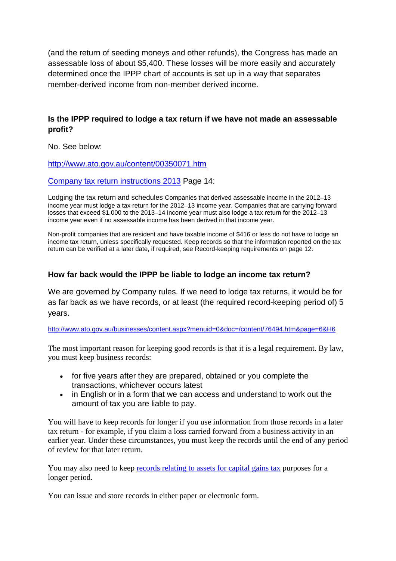(and the return of seeding moneys and other refunds), the Congress has made an assessable loss of about \$5,400. These losses will be more easily and accurately determined once the IPPP chart of accounts is set up in a way that separates member-derived income from non-member derived income.

## **Is the IPPP required to lodge a tax return if we have not made an assessable profit?**

No. See below:

http://www.ato.gov.au/content/00350071.htm

Company tax return instructions 2013 Page 14:

Lodging the tax return and schedules Companies that derived assessable income in the 2012–13 income year must lodge a tax return for the 2012–13 income year. Companies that are carrying forward losses that exceed \$1,000 to the 2013–14 income year must also lodge a tax return for the 2012–13 income year even if no assessable income has been derived in that income year.

Non-profit companies that are resident and have taxable income of \$416 or less do not have to lodge an income tax return, unless specifically requested. Keep records so that the information reported on the tax return can be verified at a later date, if required, see Record-keeping requirements on page 12.

## **How far back would the IPPP be liable to lodge an income tax return?**

We are governed by Company rules. If we need to lodge tax returns, it would be for as far back as we have records, or at least (the required record-keeping period of) 5 years.

http://www.ato.gov.au/businesses/content.aspx?menuid=0&doc=/content/76494.htm&page=6&H6

The most important reason for keeping good records is that it is a legal requirement. By law, you must keep business records:

- for five years after they are prepared, obtained or you complete the transactions, whichever occurs latest
- in English or in a form that we can access and understand to work out the amount of tax you are liable to pay.

You will have to keep records for longer if you use information from those records in a later tax return - for example, if you claim a loss carried forward from a business activity in an earlier year. Under these circumstances, you must keep the records until the end of any period of review for that later return.

You may also need to keep records relating to assets for capital gains tax purposes for a longer period.

You can issue and store records in either paper or electronic form.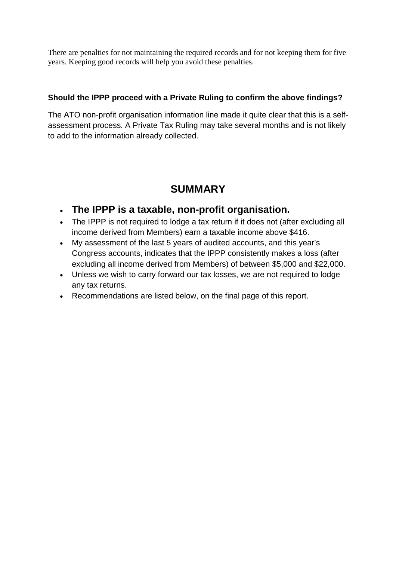There are penalties for not maintaining the required records and for not keeping them for five years. Keeping good records will help you avoid these penalties.

## **Should the IPPP proceed with a Private Ruling to confirm the above findings?**

The ATO non-profit organisation information line made it quite clear that this is a selfassessment process. A Private Tax Ruling may take several months and is not likely to add to the information already collected.

# **SUMMARY**

- **The IPPP is a taxable, non-profit organisation.**
- The IPPP is not required to lodge a tax return if it does not (after excluding all income derived from Members) earn a taxable income above \$416.
- My assessment of the last 5 years of audited accounts, and this year's Congress accounts, indicates that the IPPP consistently makes a loss (after excluding all income derived from Members) of between \$5,000 and \$22,000.
- Unless we wish to carry forward our tax losses, we are not required to lodge any tax returns.
- Recommendations are listed below, on the final page of this report.